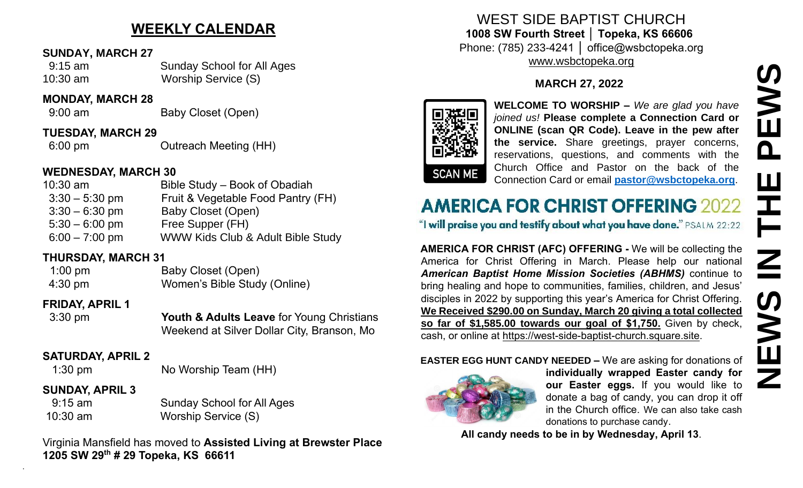# **WEEKLY CALENDAR**

#### **SUNDAY, MARCH 27**

 9:15 am Sunday School for All Ages 10:30 am Worship Service (S)

#### **MONDAY, MARCH 28**

9:00 am Baby Closet (Open)

**TUESDAY, MARCH 29**

6:00 pm Outreach Meeting (HH)

## **WEDNESDAY, MARCH 30**

| $10:30$ am       | Bible Study – Book of Obadiah      |
|------------------|------------------------------------|
| $3:30 - 5:30$ pm | Fruit & Vegetable Food Pantry (FH) |
| $3:30 - 6:30$ pm | Baby Closet (Open)                 |
| $5:30 - 6:00$ pm | Free Supper (FH)                   |
| $6:00 - 7:00$ pm | WWW Kids Club & Adult Bible Study  |

## **THURSDAY, MARCH 31**

1:00 pm Baby Closet (Open) 4:30 pm Women's Bible Study (Online)

## **FRIDAY, APRIL 1**

 3:30 pm **Youth & Adults Leave** for Young Christians Weekend at Silver Dollar City, Branson, Mo

## **SATURDAY, APRIL 2**

.

1:30 pm No Worship Team (HH)

## **SUNDAY, APRIL 3**

| $9:15$ am | <b>Sunday School for All Ages</b> |
|-----------|-----------------------------------|
| 10:30 am  | Worship Service (S)               |

Virginia Mansfield has moved to **Assisted Living at Brewster Place 1205 SW 29th # 29 Topeka, KS 66611**

WEST SIDE BAPTIST CHURCH **1008 SW Fourth Street │ Topeka, KS 66606** Phone: (785) 233-4241 │ office@wsbctopeka.org [www.wsbctopeka.org](http://www.wsbctopeka.org/)

## **MARCH 27, 2022**



**WELCOME TO WORSHIP –** *We are glad you have joined us!* **Please complete a Connection Card or ONLINE (scan QR Code). Leave in the pew after the service.** Share greetings, prayer concerns, reservations, questions, and comments with the Church Office and Pastor on the back of the Connection Card or email **[pastor@wsbctopeka.org](mailto:pastor@wsbctopeka.org)**.

**AMERICA FOR CHRIST (AFC) OFFERING -** We will be collecting the America for Christ Offering in March. Please help our national *American Baptist Home Mission Societies (ABHMS)* continue to bring healing and hope to communities, families, children, and Jesus' disciples in 2022 by supporting this year's America for Christ Offering. **We Received \$290.00 on Sunday, March 20 giving a total collected so far of \$1,585.00 towards our goal of \$1,750.** Given by check, cash, or online at [https://west-side-baptist-church.square.site.](https://west-side-baptist-church.square.site/) **ALL CALL CAND ALL CANDER CANDER CANDER CANDER CANDER CANDER CANDER (SCEND)**<br> **ALL CANDER (SCEND)** CONCINE (SCEND CANDER CANDER CANDER (SCEND) the services. Share greetings, prayer concerns, the change of the connection Ca

## **EASTER EGG HUNT CANDY NEEDED –** We are asking for donations of



**individually wrapped Easter candy for our Easter eggs.** If you would like to donate a bag of candy, you can drop it off in the Church office. We can also take cash donations to purchase candy.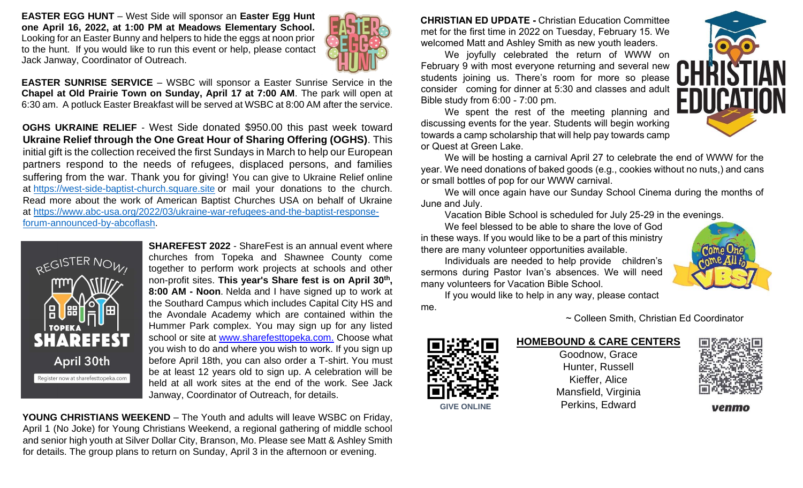**EASTER EGG HUNT** – West Side will sponsor an **Easter Egg Hunt one April 16, 2022, at 1:00 PM at Meadows Elementary School.**  Looking for an Easter Bunny and helpers to hide the eggs at noon prior to the hunt. If you would like to run this event or help, please contact Jack Janway, Coordinator of Outreach.



**EASTER SUNRISE SERVICE** – WSBC will sponsor a Easter Sunrise Service in the **Chapel at Old Prairie Town on Sunday, April 17 at 7:00 AM**. The park will open at 6:30 am. A potluck Easter Breakfast will be served at WSBC at 8:00 AM after the service.

**OGHS UKRAINE RELIEF** - West Side donated \$950.00 this past week toward **Ukraine Relief through the One Great Hour of Sharing Offering (OGHS)**. This initial gift is the collection received the first Sundays in March to help our European partners respond to the needs of refugees, displaced persons, and families suffering from the war. Thank you for giving! You can give to Ukraine Relief online at [https://west-side-baptist-church.square.site](https://west-side-baptist-church.square.site/) or mail your donations to the church. Read more about the work of American Baptist Churches USA on behalf of Ukraine at [https://www.abc-usa.org/2022/03/ukraine-war-refugees-and-the-baptist-response](https://www.abc-usa.org/2022/03/ukraine-war-refugees-and-the-baptist-response-forum-announced-by-abcoflash)[forum-announced-by-abcoflash.](https://www.abc-usa.org/2022/03/ukraine-war-refugees-and-the-baptist-response-forum-announced-by-abcoflash)



**SHAREFEST 2022** - ShareFest is an annual event where churches from Topeka and Shawnee County come together to perform work projects at schools and other non-profit sites. **This year's Share fest is on April 30th , 8:00 AM - Noon**. Nelda and I have signed up to work at the Southard Campus which includes Capital City HS and the Avondale Academy which are contained within the Hummer Park complex. You may sign up for any listed school or site at [www.sharefesttopeka.com.](http://www.sharefesttopeka.com/) Choose what you wish to do and where you wish to work. If you sign up before April 18th, you can also order a T-shirt. You must be at least 12 years old to sign up. A celebration will be held at all work sites at the end of the work. See Jack Janway, Coordinator of Outreach, for details.

**YOUNG CHRISTIANS WEEKEND** – The Youth and adults will leave WSBC on Friday, April 1 (No Joke) for Young Christians Weekend, a regional gathering of middle school and senior high youth at Silver Dollar City, Branson, Mo. Please see Matt & Ashley Smith for details. The group plans to return on Sunday, April 3 in the afternoon or evening.

**CHRISTIAN ED UPDATE -** Christian Education Committee met for the first time in 2022 on Tuesday, February 15. We welcomed Matt and Ashley Smith as new youth leaders.

We joyfully celebrated the return of WWW on February 9 with most everyone returning and several new students joining us. There's room for more so please consider coming for dinner at 5:30 and classes and adult Bible study from 6:00 - 7:00 pm.

We spent the rest of the meeting planning and discussing events for the year. Students will begin working towards a camp scholarship that will help pay towards camp or Quest at Green Lake.



We will be hosting a carnival April 27 to celebrate the end of WWW for the year. We need donations of baked goods (e.g., cookies without no nuts,) and cans or small bottles of pop for our WWW carnival.

We will once again have our Sunday School Cinema during the months of June and July.

Vacation Bible School is scheduled for July 25-29 in the evenings.

We feel blessed to be able to share the love of God in these ways. If you would like to be a part of this ministry there are many volunteer opportunities available.

Individuals are needed to help provide children's sermons during Pastor Ivan's absences. We will need many volunteers for Vacation Bible School.

If you would like to help in any way, please contact me.

~ Colleen Smith, Christian Ed Coordinator

#### **HOMEBOUND & CARE CENTERS**

Goodnow, Grace Hunter, Russell Kieffer, Alice Mansfield, Virginia **GIVE ONLINE Perkins, Edward** 



venmo